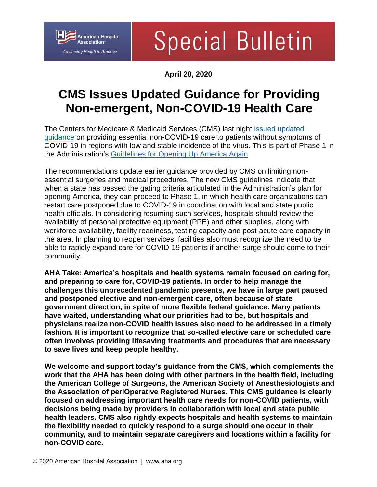

## **Special Bulletin**

**April 20, 2020**

## **CMS Issues Updated Guidance for Providing Non-emergent, Non-COVID-19 Health Care**

The Centers for Medicare & Medicaid Services (CMS) last night [issued updated](https://www.cms.gov/files/document/covid-flexibility-reopen-essential-non-covid-services.pdf)  [guidance](https://www.cms.gov/files/document/covid-flexibility-reopen-essential-non-covid-services.pdf) on providing essential non-COVID-19 care to patients without symptoms of COVID-19 in regions with low and stable incidence of the virus. This is part of Phase 1 in the Administration's [Guidelines for Opening Up America Again.](https://www.whitehouse.gov/openingamerica/#criteria)

The recommendations update earlier guidance provided by CMS on limiting nonessential surgeries and medical procedures. The new CMS guidelines indicate that when a state has passed the gating criteria articulated in the Administration's plan for opening America, they can proceed to Phase 1, in which health care organizations can restart care postponed due to COVID-19 in coordination with local and state public health officials. In considering resuming such services, hospitals should review the availability of personal protective equipment (PPE) and other supplies, along with workforce availability, facility readiness, testing capacity and post-acute care capacity in the area. In planning to reopen services, facilities also must recognize the need to be able to rapidly expand care for COVID-19 patients if another surge should come to their community.

**AHA Take: America's hospitals and health systems remain focused on caring for, and preparing to care for, COVID-19 patients. In order to help manage the challenges this unprecedented pandemic presents, we have in large part paused and postponed elective and non-emergent care, often because of state government direction, in spite of more flexible federal guidance. Many patients have waited, understanding what our priorities had to be, but hospitals and physicians realize non-COVID health issues also need to be addressed in a timely fashion. It is important to recognize that so-called elective care or scheduled care often involves providing lifesaving treatments and procedures that are necessary to save lives and keep people healthy.**

**We welcome and support today's guidance from the CMS, which complements the work that the AHA has been doing with other partners in the health field, including the American College of Surgeons, the American Society of Anesthesiologists and the Association of periOperative Registered Nurses. This CMS guidance is clearly focused on addressing important health care needs for non-COVID patients, with decisions being made by providers in collaboration with local and state public health leaders. CMS also rightly expects hospitals and health systems to maintain the flexibility needed to quickly respond to a surge should one occur in their community, and to maintain separate caregivers and locations within a facility for non-COVID care.**